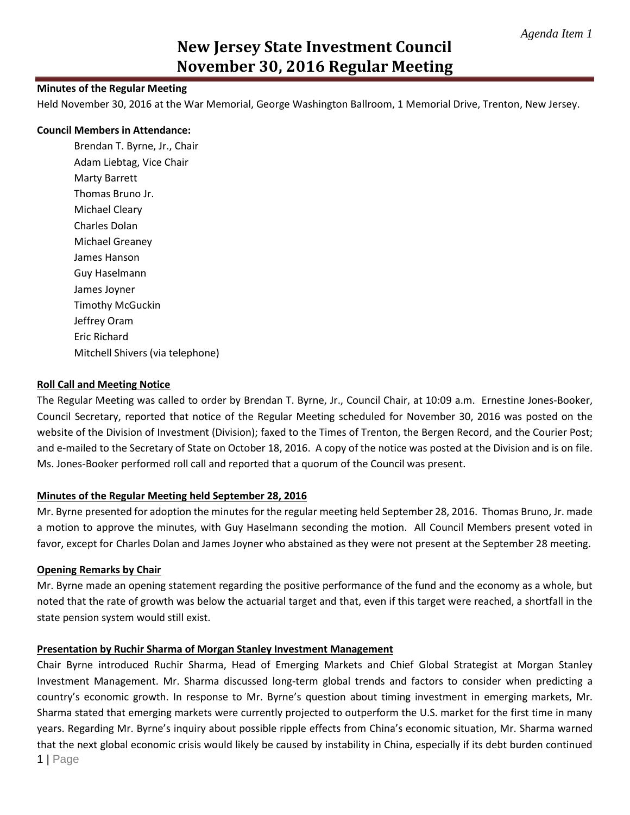# **New Jersey State Investment Council November 30, 2016 Regular Meeting**

#### **Minutes of the Regular Meeting**

Held November 30, 2016 at the War Memorial, George Washington Ballroom, 1 Memorial Drive, Trenton, New Jersey.

#### **Council Members in Attendance:**

Brendan T. Byrne, Jr., Chair Adam Liebtag, Vice Chair Marty Barrett Thomas Bruno Jr. Michael Cleary Charles Dolan Michael Greaney James Hanson Guy Haselmann James Joyner Timothy McGuckin Jeffrey Oram Eric Richard Mitchell Shivers (via telephone)

#### **Roll Call and Meeting Notice**

The Regular Meeting was called to order by Brendan T. Byrne, Jr., Council Chair, at 10:09 a.m. Ernestine Jones-Booker, Council Secretary, reported that notice of the Regular Meeting scheduled for November 30, 2016 was posted on the website of the Division of Investment (Division); faxed to the Times of Trenton, the Bergen Record, and the Courier Post; and e-mailed to the Secretary of State on October 18, 2016. A copy of the notice was posted at the Division and is on file. Ms. Jones-Booker performed roll call and reported that a quorum of the Council was present.

### **Minutes of the Regular Meeting held September 28, 2016**

Mr. Byrne presented for adoption the minutes for the regular meeting held September 28, 2016. Thomas Bruno, Jr. made a motion to approve the minutes, with Guy Haselmann seconding the motion. All Council Members present voted in favor, except for Charles Dolan and James Joyner who abstained as they were not present at the September 28 meeting.

#### **Opening Remarks by Chair**

Mr. Byrne made an opening statement regarding the positive performance of the fund and the economy as a whole, but noted that the rate of growth was below the actuarial target and that, even if this target were reached, a shortfall in the state pension system would still exist.

#### **Presentation by Ruchir Sharma of Morgan Stanley Investment Management**

1 | Page Chair Byrne introduced Ruchir Sharma, Head of Emerging Markets and Chief Global Strategist at Morgan Stanley Investment Management. Mr. Sharma discussed long-term global trends and factors to consider when predicting a country's economic growth. In response to Mr. Byrne's question about timing investment in emerging markets, Mr. Sharma stated that emerging markets were currently projected to outperform the U.S. market for the first time in many years. Regarding Mr. Byrne's inquiry about possible ripple effects from China's economic situation, Mr. Sharma warned that the next global economic crisis would likely be caused by instability in China, especially if its debt burden continued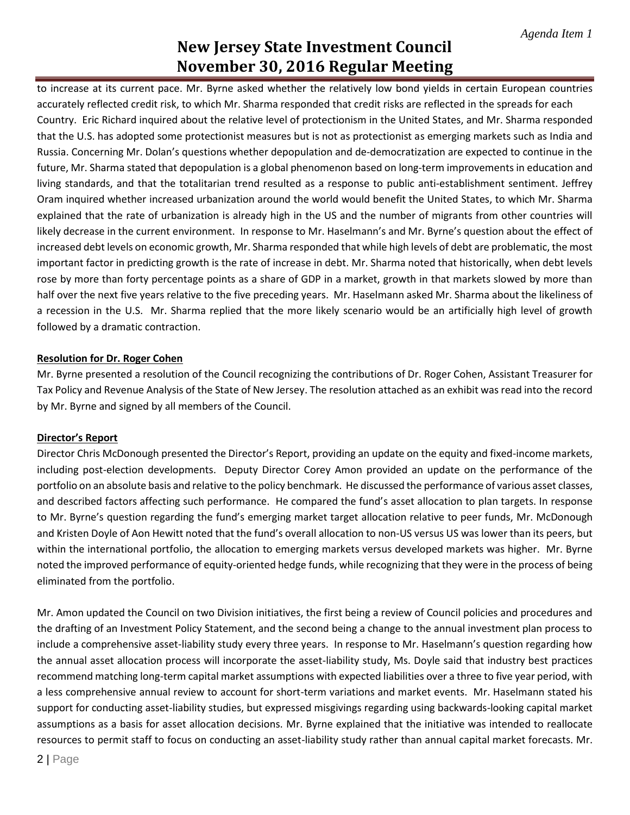# **New Jersey State Investment Council November 30, 2016 Regular Meeting**

to increase at its current pace. Mr. Byrne asked whether the relatively low bond yields in certain European countries accurately reflected credit risk, to which Mr. Sharma responded that credit risks are reflected in the spreads for each Country. Eric Richard inquired about the relative level of protectionism in the United States, and Mr. Sharma responded that the U.S. has adopted some protectionist measures but is not as protectionist as emerging markets such as India and Russia. Concerning Mr. Dolan's questions whether depopulation and de-democratization are expected to continue in the future, Mr. Sharma stated that depopulation is a global phenomenon based on long-term improvements in education and living standards, and that the totalitarian trend resulted as a response to public anti-establishment sentiment. Jeffrey Oram inquired whether increased urbanization around the world would benefit the United States, to which Mr. Sharma explained that the rate of urbanization is already high in the US and the number of migrants from other countries will likely decrease in the current environment. In response to Mr. Haselmann's and Mr. Byrne's question about the effect of increased debt levels on economic growth, Mr. Sharma responded that while high levels of debt are problematic, the most important factor in predicting growth is the rate of increase in debt. Mr. Sharma noted that historically, when debt levels rose by more than forty percentage points as a share of GDP in a market, growth in that markets slowed by more than half over the next five years relative to the five preceding years. Mr. Haselmann asked Mr. Sharma about the likeliness of a recession in the U.S. Mr. Sharma replied that the more likely scenario would be an artificially high level of growth followed by a dramatic contraction.

## **Resolution for Dr. Roger Cohen**

Mr. Byrne presented a resolution of the Council recognizing the contributions of Dr. Roger Cohen, Assistant Treasurer for Tax Policy and Revenue Analysis of the State of New Jersey. The resolution attached as an exhibit was read into the record by Mr. Byrne and signed by all members of the Council.

### **Director's Report**

Director Chris McDonough presented the Director's Report, providing an update on the equity and fixed-income markets, including post-election developments. Deputy Director Corey Amon provided an update on the performance of the portfolio on an absolute basis and relative to the policy benchmark. He discussed the performance of various asset classes, and described factors affecting such performance. He compared the fund's asset allocation to plan targets. In response to Mr. Byrne's question regarding the fund's emerging market target allocation relative to peer funds, Mr. McDonough and Kristen Doyle of Aon Hewitt noted that the fund's overall allocation to non-US versus US was lower than its peers, but within the international portfolio, the allocation to emerging markets versus developed markets was higher. Mr. Byrne noted the improved performance of equity-oriented hedge funds, while recognizing that they were in the process of being eliminated from the portfolio.

Mr. Amon updated the Council on two Division initiatives, the first being a review of Council policies and procedures and the drafting of an Investment Policy Statement, and the second being a change to the annual investment plan process to include a comprehensive asset-liability study every three years. In response to Mr. Haselmann's question regarding how the annual asset allocation process will incorporate the asset-liability study, Ms. Doyle said that industry best practices recommend matching long-term capital market assumptions with expected liabilities over a three to five year period, with a less comprehensive annual review to account for short-term variations and market events. Mr. Haselmann stated his support for conducting asset-liability studies, but expressed misgivings regarding using backwards-looking capital market assumptions as a basis for asset allocation decisions. Mr. Byrne explained that the initiative was intended to reallocate resources to permit staff to focus on conducting an asset-liability study rather than annual capital market forecasts. Mr.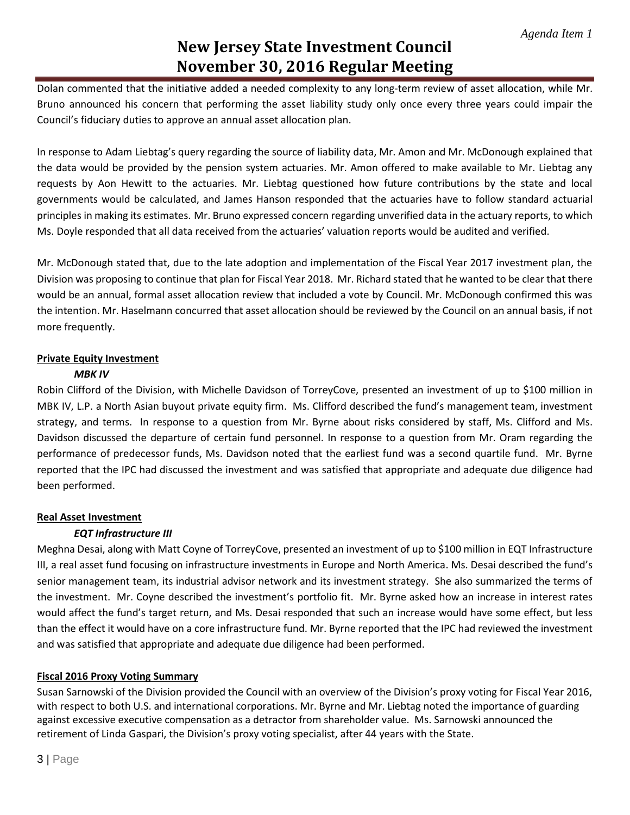# **New Jersey State Investment Council November 30, 2016 Regular Meeting**

Dolan commented that the initiative added a needed complexity to any long-term review of asset allocation, while Mr. Bruno announced his concern that performing the asset liability study only once every three years could impair the Council's fiduciary duties to approve an annual asset allocation plan.

In response to Adam Liebtag's query regarding the source of liability data, Mr. Amon and Mr. McDonough explained that the data would be provided by the pension system actuaries. Mr. Amon offered to make available to Mr. Liebtag any requests by Aon Hewitt to the actuaries. Mr. Liebtag questioned how future contributions by the state and local governments would be calculated, and James Hanson responded that the actuaries have to follow standard actuarial principles in making its estimates. Mr. Bruno expressed concern regarding unverified data in the actuary reports, to which Ms. Doyle responded that all data received from the actuaries' valuation reports would be audited and verified.

Mr. McDonough stated that, due to the late adoption and implementation of the Fiscal Year 2017 investment plan, the Division was proposing to continue that plan for Fiscal Year 2018. Mr. Richard stated that he wanted to be clear that there would be an annual, formal asset allocation review that included a vote by Council. Mr. McDonough confirmed this was the intention. Mr. Haselmann concurred that asset allocation should be reviewed by the Council on an annual basis, if not more frequently.

### **Private Equity Investment**

## *MBK IV*

Robin Clifford of the Division, with Michelle Davidson of TorreyCove, presented an investment of up to \$100 million in MBK IV, L.P. a North Asian buyout private equity firm. Ms. Clifford described the fund's management team, investment strategy, and terms. In response to a question from Mr. Byrne about risks considered by staff, Ms. Clifford and Ms. Davidson discussed the departure of certain fund personnel. In response to a question from Mr. Oram regarding the performance of predecessor funds, Ms. Davidson noted that the earliest fund was a second quartile fund. Mr. Byrne reported that the IPC had discussed the investment and was satisfied that appropriate and adequate due diligence had been performed.

## **Real Asset Investment**

## *EQT Infrastructure III*

Meghna Desai, along with Matt Coyne of TorreyCove, presented an investment of up to \$100 million in EQT Infrastructure III, a real asset fund focusing on infrastructure investments in Europe and North America. Ms. Desai described the fund's senior management team, its industrial advisor network and its investment strategy. She also summarized the terms of the investment. Mr. Coyne described the investment's portfolio fit. Mr. Byrne asked how an increase in interest rates would affect the fund's target return, and Ms. Desai responded that such an increase would have some effect, but less than the effect it would have on a core infrastructure fund. Mr. Byrne reported that the IPC had reviewed the investment and was satisfied that appropriate and adequate due diligence had been performed.

## **Fiscal 2016 Proxy Voting Summary**

Susan Sarnowski of the Division provided the Council with an overview of the Division's proxy voting for Fiscal Year 2016, with respect to both U.S. and international corporations. Mr. Byrne and Mr. Liebtag noted the importance of guarding against excessive executive compensation as a detractor from shareholder value. Ms. Sarnowski announced the retirement of Linda Gaspari, the Division's proxy voting specialist, after 44 years with the State.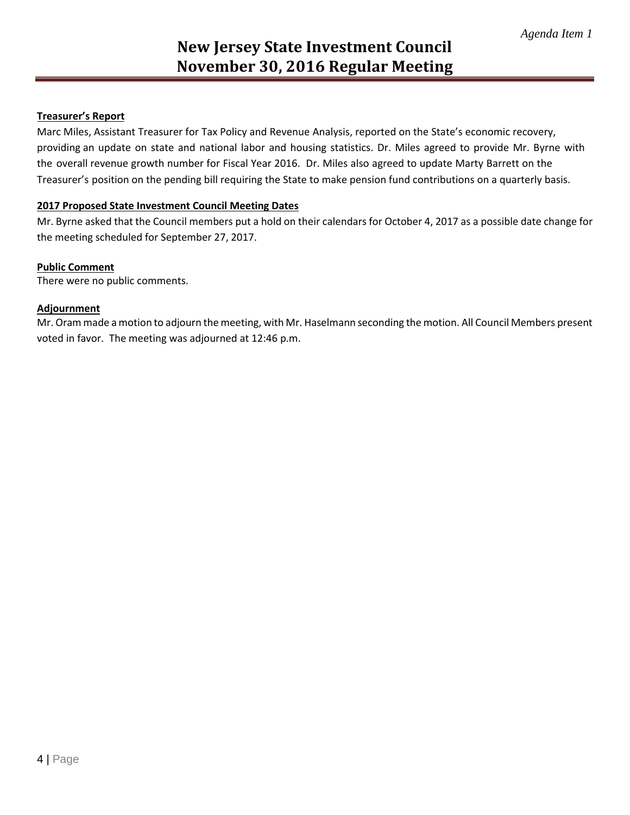## **Treasurer's Report**

Marc Miles, Assistant Treasurer for Tax Policy and Revenue Analysis, reported on the State's economic recovery, providing an update on state and national labor and housing statistics. Dr. Miles agreed to provide Mr. Byrne with the overall revenue growth number for Fiscal Year 2016. Dr. Miles also agreed to update Marty Barrett on the Treasurer's position on the pending bill requiring the State to make pension fund contributions on a quarterly basis.

### **2017 Proposed State Investment Council Meeting Dates**

Mr. Byrne asked that the Council members put a hold on their calendars for October 4, 2017 as a possible date change for the meeting scheduled for September 27, 2017.

#### **Public Comment**

There were no public comments.

#### **Adjournment**

Mr. Oram made a motion to adjourn the meeting, with Mr. Haselmann seconding the motion. All Council Members present voted in favor. The meeting was adjourned at 12:46 p.m.